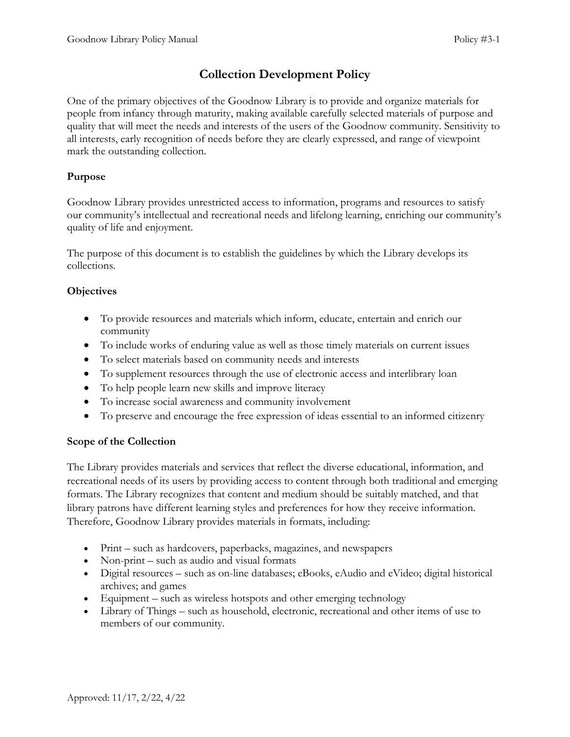# **Collection Development Policy**

One of the primary objectives of the Goodnow Library is to provide and organize materials for people from infancy through maturity, making available carefully selected materials of purpose and quality that will meet the needs and interests of the users of the Goodnow community. Sensitivity to all interests, early recognition of needs before they are clearly expressed, and range of viewpoint mark the outstanding collection.

# **Purpose**

Goodnow Library provides unrestricted access to information, programs and resources to satisfy our community's intellectual and recreational needs and lifelong learning, enriching our community's quality of life and enjoyment.

The purpose of this document is to establish the guidelines by which the Library develops its collections.

# **Objectives**

- To provide resources and materials which inform, educate, entertain and enrich our community
- To include works of enduring value as well as those timely materials on current issues
- To select materials based on community needs and interests
- To supplement resources through the use of electronic access and interlibrary loan
- To help people learn new skills and improve literacy
- To increase social awareness and community involvement
- To preserve and encourage the free expression of ideas essential to an informed citizenry

# **Scope of the Collection**

The Library provides materials and services that reflect the diverse educational, information, and recreational needs of its users by providing access to content through both traditional and emerging formats. The Library recognizes that content and medium should be suitably matched, and that library patrons have different learning styles and preferences for how they receive information. Therefore, Goodnow Library provides materials in formats, including:

- Print such as hardcovers, paperbacks, magazines, and newspapers
- Non-print such as audio and visual formats
- Digital resources such as on-line databases; eBooks, eAudio and eVideo; digital historical archives; and games
- Equipment such as wireless hotspots and other emerging technology
- Library of Things such as household, electronic, recreational and other items of use to members of our community.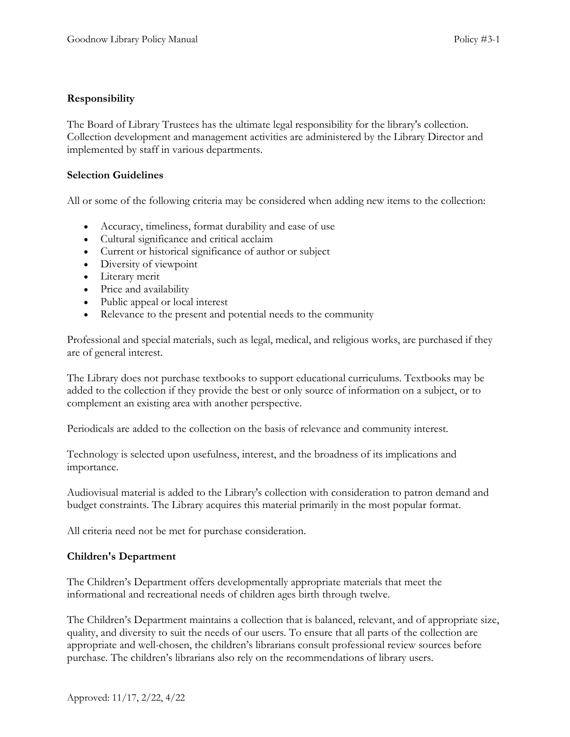## **Responsibility**

The Board of Library Trustees has the ultimate legal responsibility for the library's collection. Collection development and management activities are administered by the Library Director and implemented by staff in various departments.

### **Selection Guidelines**

All or some of the following criteria may be considered when adding new items to the collection:

- Accuracy, timeliness, format durability and ease of use
- Cultural significance and critical acclaim
- Current or historical significance of author or subject
- Diversity of viewpoint
- Literary merit
- Price and availability
- Public appeal or local interest
- Relevance to the present and potential needs to the community

Professional and special materials, such as legal, medical, and religious works, are purchased if they are of general interest.

The Library does not purchase textbooks to support educational curriculums. Textbooks may be added to the collection if they provide the best or only source of information on a subject, or to complement an existing area with another perspective.

Periodicals are added to the collection on the basis of relevance and community interest.

Technology is selected upon usefulness, interest, and the broadness of its implications and importance.

Audiovisual material is added to the Library's collection with consideration to patron demand and budget constraints. The Library acquires this material primarily in the most popular format.

All criteria need not be met for purchase consideration.

### **Children's Department**

The Children's Department offers developmentally appropriate materials that meet the informational and recreational needs of children ages birth through twelve.

The Children's Department maintains a collection that is balanced, relevant, and of appropriate size, quality, and diversity to suit the needs of our users. To ensure that all parts of the collection are appropriate and well-chosen, the children's librarians consult professional review sources before purchase. The children's librarians also rely on the recommendations of library users.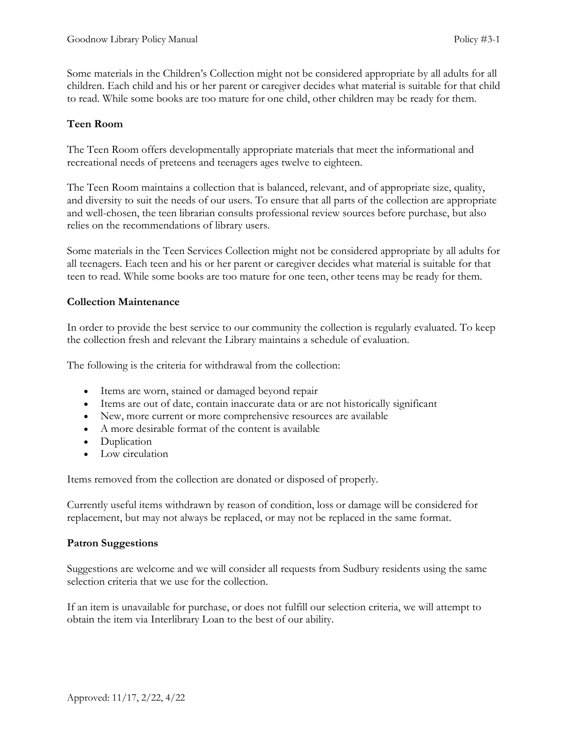Some materials in the Children's Collection might not be considered appropriate by all adults for all children. Each child and his or her parent or caregiver decides what material is suitable for that child to read. While some books are too mature for one child, other children may be ready for them.

## **Teen Room**

The Teen Room offers developmentally appropriate materials that meet the informational and recreational needs of preteens and teenagers ages twelve to eighteen.

The Teen Room maintains a collection that is balanced, relevant, and of appropriate size, quality, and diversity to suit the needs of our users. To ensure that all parts of the collection are appropriate and well-chosen, the teen librarian consults professional review sources before purchase, but also relies on the recommendations of library users.

Some materials in the Teen Services Collection might not be considered appropriate by all adults for all teenagers. Each teen and his or her parent or caregiver decides what material is suitable for that teen to read. While some books are too mature for one teen, other teens may be ready for them.

## **Collection Maintenance**

In order to provide the best service to our community the collection is regularly evaluated. To keep the collection fresh and relevant the Library maintains a schedule of evaluation.

The following is the criteria for withdrawal from the collection:

- Items are worn, stained or damaged beyond repair
- Items are out of date, contain inaccurate data or are not historically significant
- New, more current or more comprehensive resources are available
- A more desirable format of the content is available
- Duplication
- Low circulation

Items removed from the collection are donated or disposed of properly.

Currently useful items withdrawn by reason of condition, loss or damage will be considered for replacement, but may not always be replaced, or may not be replaced in the same format.

### **Patron Suggestions**

Suggestions are welcome and we will consider all requests from Sudbury residents using the same selection criteria that we use for the collection.

If an item is unavailable for purchase, or does not fulfill our selection criteria, we will attempt to obtain the item via Interlibrary Loan to the best of our ability.